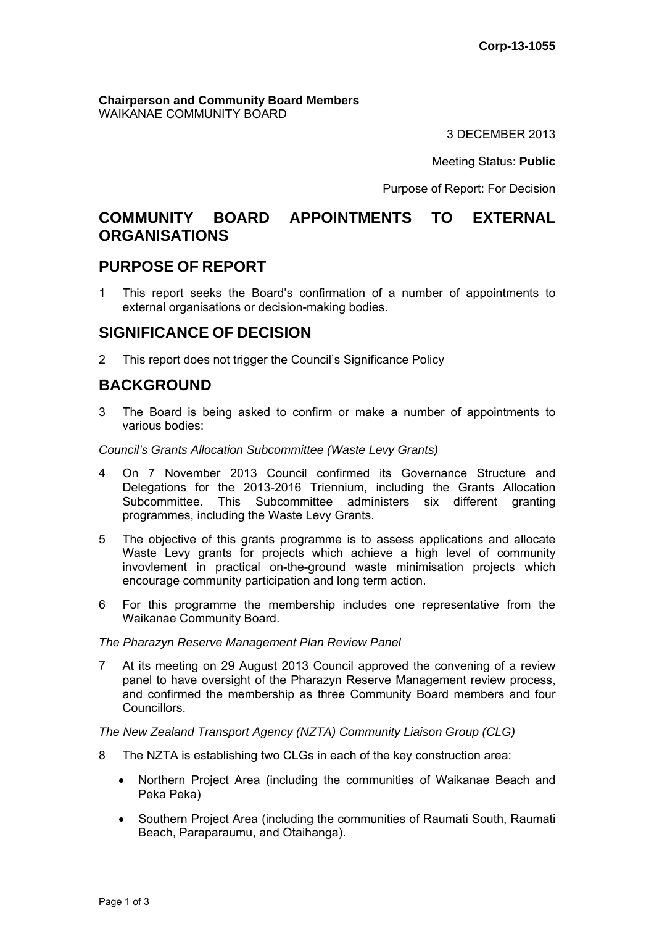**Chairperson and Community Board Members** WAIKANAE COMMUNITY BOARD

3 DECEMBER 2013

Meeting Status: **Public**

Purpose of Report: For Decision

## **COMMUNITY BOARD APPOINTMENTS TO EXTERNAL ORGANISATIONS**

## **PURPOSE OF REPORT**

1 This report seeks the Board's confirmation of a number of appointments to external organisations or decision-making bodies.

## **SIGNIFICANCE OF DECISION**

2 This report does not trigger the Council's Significance Policy

## **BACKGROUND**

3 The Board is being asked to confirm or make a number of appointments to various bodies:

*Council's Grants Allocation Subcommittee (Waste Levy Grants)* 

- 4 On 7 November 2013 Council confirmed its Governance Structure and Delegations for the 2013-2016 Triennium, including the Grants Allocation Subcommittee. This Subcommittee administers six different granting programmes, including the Waste Levy Grants.
- 5 The objective of this grants programme is to assess applications and allocate Waste Levy grants for projects which achieve a high level of community invovlement in practical on-the-ground waste minimisation projects which encourage community participation and long term action.
- 6 For this programme the membership includes one representative from the Waikanae Community Board.

*The Pharazyn Reserve Management Plan Review Panel* 

7 At its meeting on 29 August 2013 Council approved the convening of a review panel to have oversight of the Pharazyn Reserve Management review process, and confirmed the membership as three Community Board members and four Councillors.

*The New Zealand Transport Agency (NZTA) Community Liaison Group (CLG)* 

- 8 The NZTA is establishing two CLGs in each of the key construction area:
	- Northern Project Area (including the communities of Waikanae Beach and Peka Peka)
	- Southern Project Area (including the communities of Raumati South, Raumati Beach, Paraparaumu, and Otaihanga).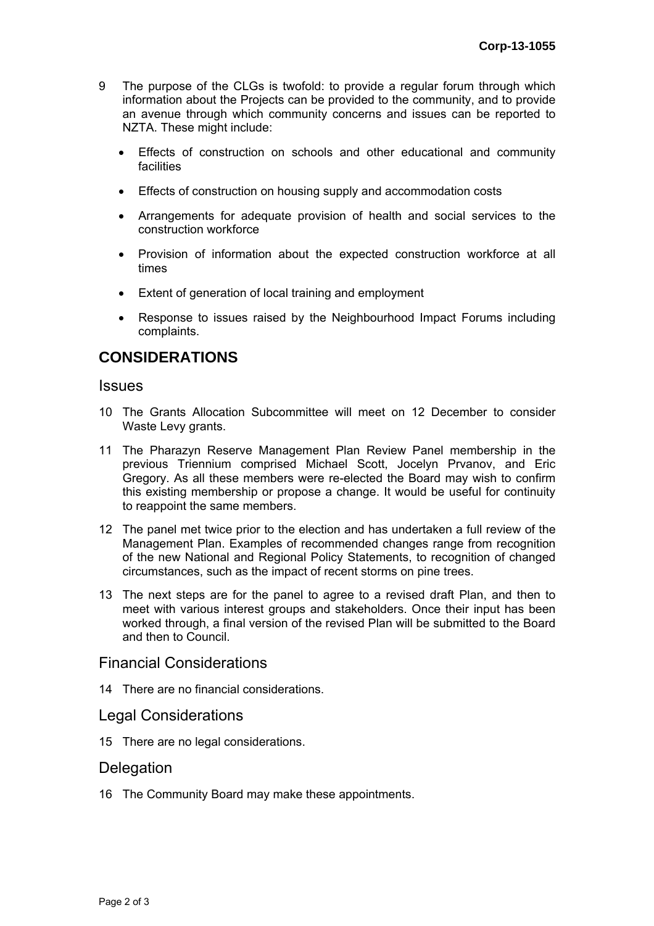- 9 The purpose of the CLGs is twofold: to provide a regular forum through which information about the Projects can be provided to the community, and to provide an avenue through which community concerns and issues can be reported to NZTA. These might include:
	- Effects of construction on schools and other educational and community facilities
	- Effects of construction on housing supply and accommodation costs
	- Arrangements for adequate provision of health and social services to the construction workforce
	- Provision of information about the expected construction workforce at all times
	- Extent of generation of local training and employment
	- Response to issues raised by the Neighbourhood Impact Forums including complaints.

# **CONSIDERATIONS**

#### Issues

- 10 The Grants Allocation Subcommittee will meet on 12 December to consider Waste Levy grants.
- 11 The Pharazyn Reserve Management Plan Review Panel membership in the previous Triennium comprised Michael Scott, Jocelyn Prvanov, and Eric Gregory. As all these members were re-elected the Board may wish to confirm this existing membership or propose a change. It would be useful for continuity to reappoint the same members.
- 12 The panel met twice prior to the election and has undertaken a full review of the Management Plan. Examples of recommended changes range from recognition of the new National and Regional Policy Statements, to recognition of changed circumstances, such as the impact of recent storms on pine trees.
- 13 The next steps are for the panel to agree to a revised draft Plan, and then to meet with various interest groups and stakeholders. Once their input has been worked through, a final version of the revised Plan will be submitted to the Board and then to Council.

#### Financial Considerations

14 There are no financial considerations.

#### Legal Considerations

15 There are no legal considerations.

#### **Delegation**

16 The Community Board may make these appointments.